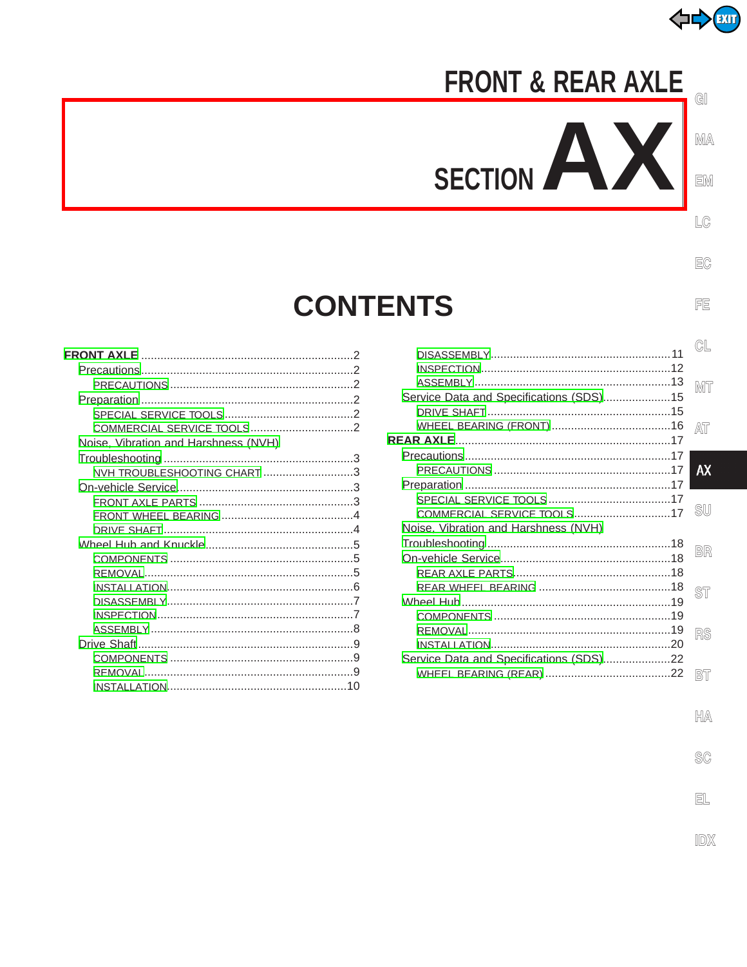

# **FRONT & REAR AXLE**

 $\mathbf{r}$ 

SECTION

 $M$ A

GI

EM

 $LG$ 

EC

FE

# **CONTENTS**

| Noise, Vibration and Harshness (NVH) |  |
|--------------------------------------|--|
|                                      |  |
| NVH TROUBLESHOOTING CHART 3          |  |
|                                      |  |
|                                      |  |
|                                      |  |
|                                      |  |
|                                      |  |
|                                      |  |
|                                      |  |
|                                      |  |
|                                      |  |
|                                      |  |
|                                      |  |
|                                      |  |
|                                      |  |
|                                      |  |
|                                      |  |

|                                         | CL        |
|-----------------------------------------|-----------|
|                                         |           |
|                                         |           |
|                                         | MT        |
| Service Data and Specifications (SDS)15 |           |
|                                         |           |
|                                         | AΤ        |
|                                         |           |
|                                         | <b>AX</b> |
|                                         |           |
|                                         |           |
|                                         | <b>SU</b> |
| COMMERCIAL SERVICE TOOLS17              |           |
| Noise, Vibration and Harshness (NVH)    |           |
|                                         | BR        |
|                                         |           |
|                                         |           |
|                                         | ST        |
|                                         |           |
|                                         |           |
|                                         | RS        |
|                                         |           |
| Service Data and Specifications (SDS)22 |           |
|                                         | BT        |
|                                         |           |

- $\mathbb{H}\mathbb{A}$
- $\mathbb{S}\mathbb{C}$

EL

IDX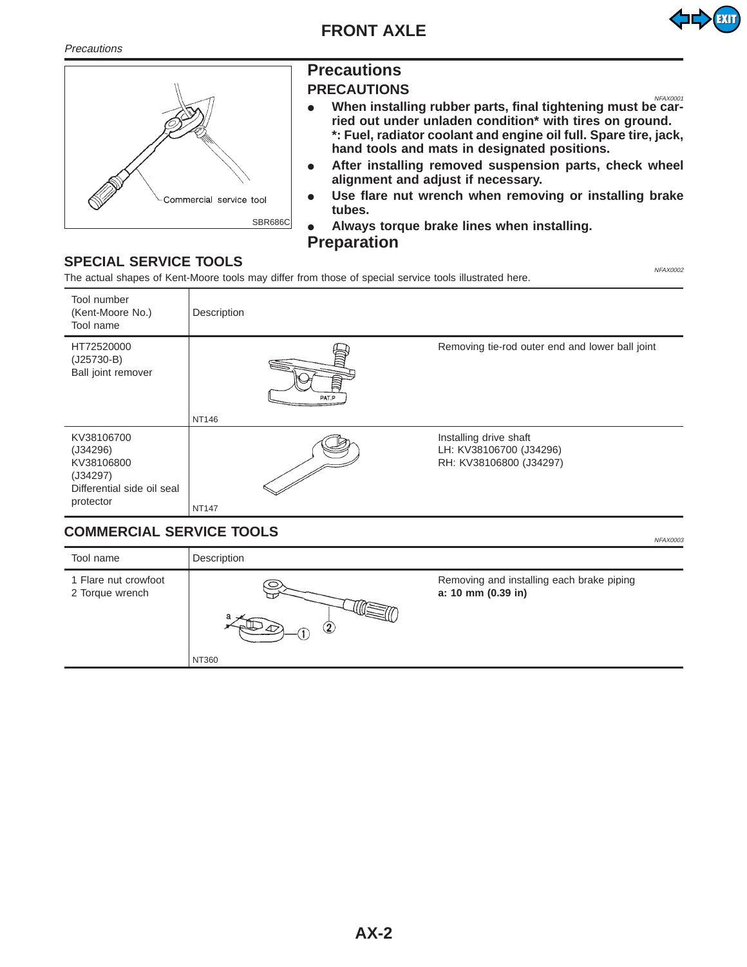<span id="page-1-0"></span>**Precautions** 





# **Precautions**

#### **PRECAUTIONS**

- When installing rubber parts, final tightening must be car**ried out under unladen condition\* with tires on ground. \*: Fuel, radiator coolant and engine oil full. Spare tire, jack, hand tools and mats in designated positions.**
- **•** After installing removed suspension parts, check wheel **alignment and adjust if necessary.**
- Use flare nut wrench when removing or installing brake **tubes.**
- **Always torque brake lines when installing. Preparation**

# **SPECIAL SERVICE TOOLS**

The actual shapes of Kent-Moore tools may differ from those of special service tools illustrated here.



# **COMMERCIAL SERVICE TOOLS**

| Tool name                               | Description       |                                                                 |
|-----------------------------------------|-------------------|-----------------------------------------------------------------|
| 1 Flare nut crowfoot<br>2 Torque wrench | $\bf{2}$<br>NT360 | Removing and installing each brake piping<br>a: 10 mm (0.39 in) |
|                                         |                   |                                                                 |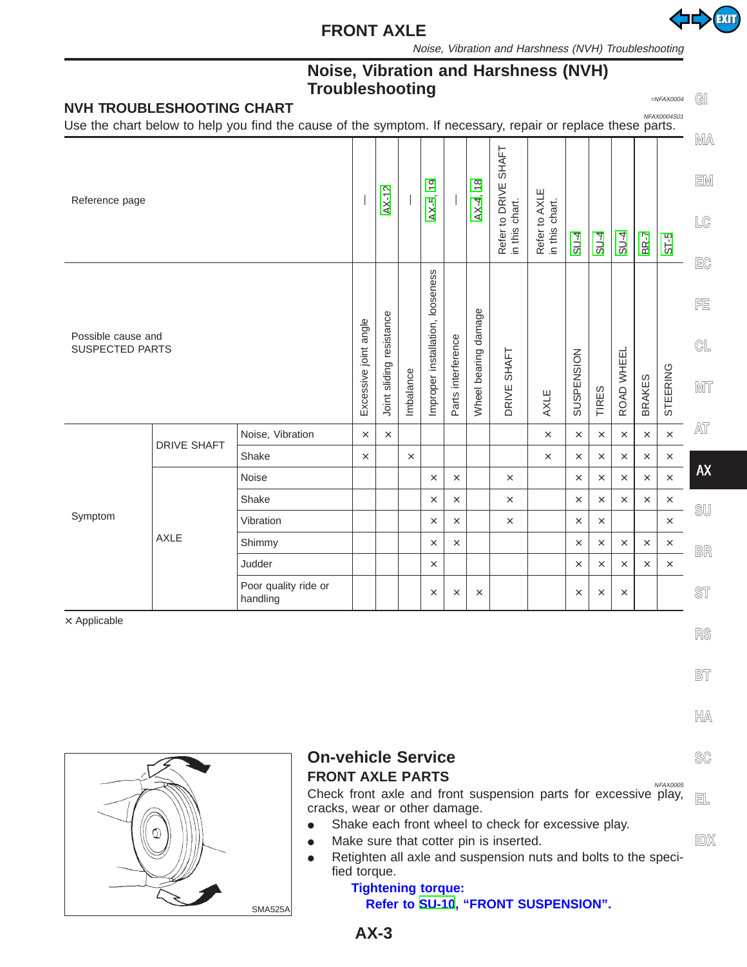

Noise, Vibration and Harshness (NVH) Troubleshooting

# **Noise, Vibration and Harshness (NVH) Troubleshooting** expansion to the set of the set of the set of the set of the set of the set of the set of the set of the set of the set of the set of the set of the set of the set of the set of the set of the set of the

<span id="page-2-0"></span>

|                                              | <b>NVH TROUBLESHOOTING CHART</b> | ,,,,,,,,,,,,,,,,,,,,<br>Use the chart below to help you find the cause of the symptom. If necessary, repair or replace these parts. |                          |           |                                  |                              |                      |                        |                                                    |                                 |          |            |               |          | $=NFAX0004$<br>NFAX0004S01                                              | GI                                 |
|----------------------------------------------|----------------------------------|-------------------------------------------------------------------------------------------------------------------------------------|--------------------------|-----------|----------------------------------|------------------------------|----------------------|------------------------|----------------------------------------------------|---------------------------------|----------|------------|---------------|----------|-------------------------------------------------------------------------|------------------------------------|
| Reference page                               |                                  |                                                                                                                                     |                          | AX-12     |                                  | တ<br>$\overline{ }$<br>AX-5, |                      | $\frac{8}{1}$<br>AX-4, | <b>SHAFT</b><br>Refer to DRIVE :<br>in this chart. | Refer to AXLE<br>in this chart. | $SU-4$   | $SU-4$     | $SU-4$        | BR-7     | $ST-5$                                                                  | MA<br>EM<br>$\mathbb{L}\mathbb{G}$ |
| Possible cause and<br><b>SUSPECTED PARTS</b> |                                  | Excessive joint angle                                                                                                               | Joint sliding resistance | Imbalance | Improper installation, looseness | Parts interference           | Wheel bearing damage | <b>SHAFT</b><br>DRIVE  | AXLE                                               | SUSPENSION                      | TIRES    | ROAD WHEEL | <b>BRAKES</b> | STEERING | $E$ C<br>FE<br>$\mathbb{GL}% _{n}^{\times 1}\times\mathbb{C}^{n}$<br>MT |                                    |
|                                              | <b>DRIVE SHAFT</b>               | Noise, Vibration                                                                                                                    | $\times$                 | $\times$  |                                  |                              |                      |                        |                                                    | $\times$                        | $\times$ | $\times$   | $\times$      | $\times$ | $\times$                                                                | AT                                 |
|                                              |                                  | Shake                                                                                                                               | $\times$                 |           | $\times$                         |                              |                      |                        |                                                    | $\times$                        | $\times$ | $\times$   | $\times$      | $\times$ | $\times$                                                                |                                    |
|                                              |                                  | Noise                                                                                                                               |                          |           |                                  | $\times$                     | $\times$             |                        | $\times$                                           |                                 | $\times$ | $\times$   | $\times$      | $\times$ | $\times$                                                                | <b>AX</b>                          |
|                                              |                                  | Shake                                                                                                                               |                          |           |                                  | $\times$                     | $\times$             |                        | $\times$                                           |                                 | $\times$ | $\times$   | $\times$      | $\times$ | $\times$                                                                | SU                                 |
| Symptom<br><b>AXLE</b>                       | Vibration                        |                                                                                                                                     |                          |           | $\times$                         | $\times$                     |                      | $\times$               |                                                    | $\times$                        | $\times$ |            |               | $\times$ |                                                                         |                                    |
|                                              | Shimmy                           |                                                                                                                                     |                          |           | $\times$                         | $\times$                     |                      |                        |                                                    | $\times$                        | $\times$ | $\times$   | $\times$      | $\times$ | BR                                                                      |                                    |
|                                              |                                  | Judder                                                                                                                              |                          |           |                                  | $\times$                     |                      |                        |                                                    |                                 | $\times$ | $\times$   | $\times$      | $\times$ | $\times$                                                                |                                    |
|                                              |                                  | Poor quality ride or<br>handling                                                                                                    |                          |           |                                  | $\times$                     | $\times$             | $\times$               |                                                    |                                 | $\times$ | $\times$   | $\times$      |          |                                                                         | <b>ST</b>                          |

×: Applicable

**RS**

**BT**

**HA**

**SC**

**IDX**



# **On-vehicle Service**

**FRONT AXLE PARTS** NET ALL AND REAXOODS Check front axle and front suspension parts for excessive play, cracks, wear or other damage. **EL**

- Shake each front wheel to check for excessive play.
- Make sure that cotter pin is inserted.
- Retighten all axle and suspension nuts and bolts to the specified torque.

#### **Tightening torque: Refer to [SU-10](#page-9-1), "FRONT SUSPENSION".**

**AX-3**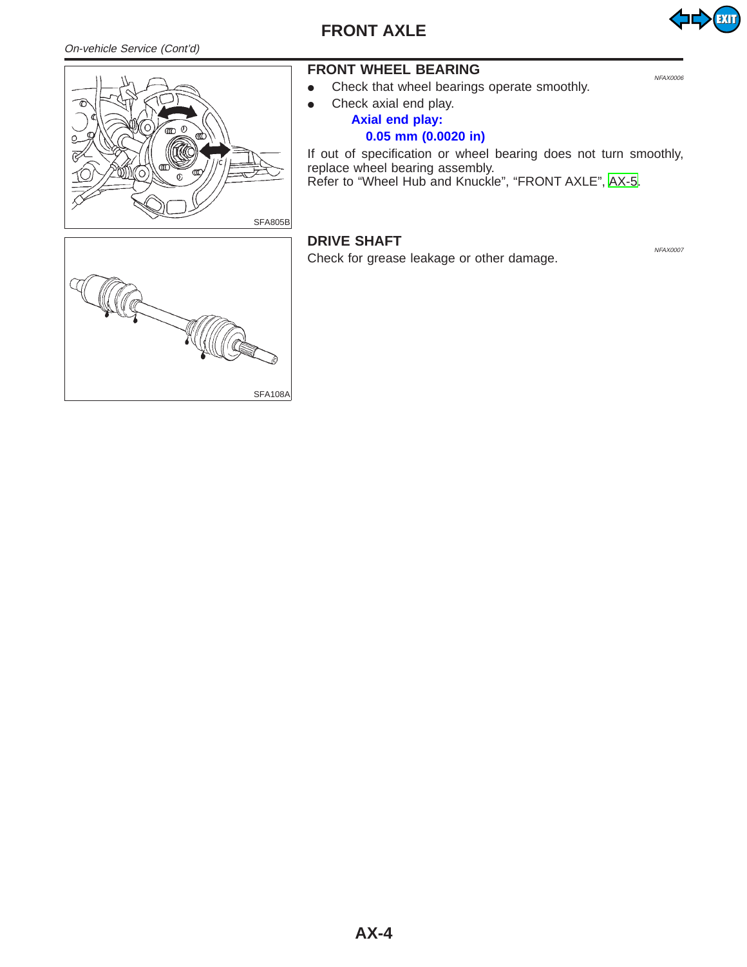#### <span id="page-3-1"></span><span id="page-3-0"></span>On-vehicle Service (Cont'd)

**FRONT AXLE**





## **FRONT WHEEL BEARING**

- Check that wheel bearings operate smoothly.
- $\bullet$  Check axial end play.

#### **Axial end play: 0.05 mm (0.0020 in)**

If out of specification or wheel bearing does not turn smoothly, replace wheel bearing assembly. Refer to "Wheel Hub and Knuckle", "FRONT AXLE", [AX-5.](#page-4-0)

#### **DRIVE SHAFT** NEAX0007

Check for grease leakage or other damage.

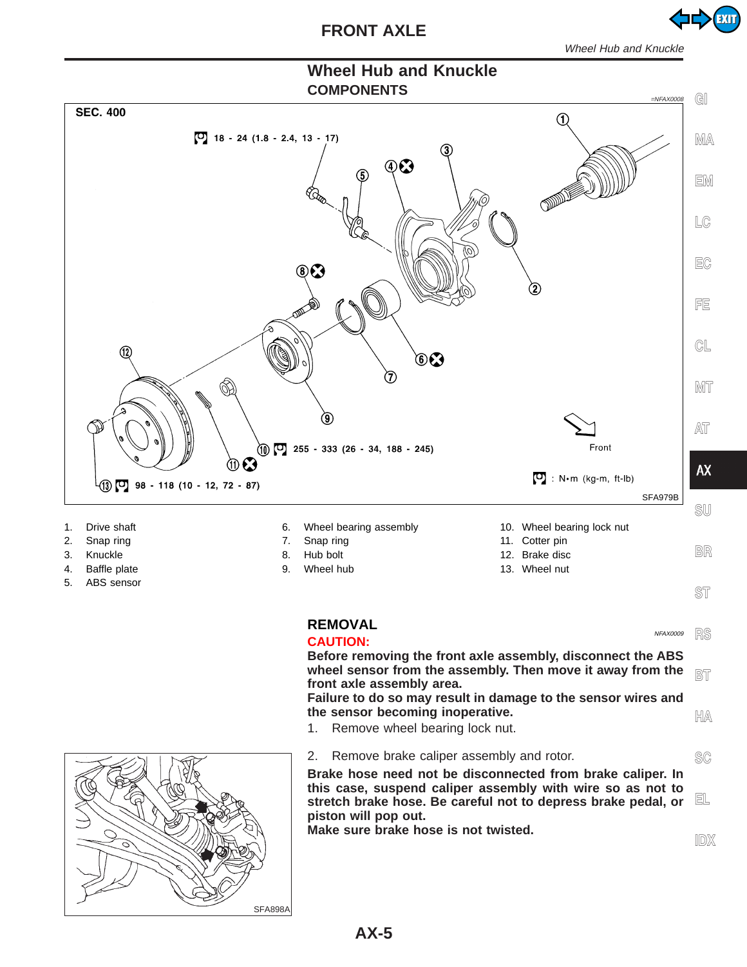EXIT

# **Wheel Hub and Knuckle**

<span id="page-4-0"></span>

**Brake hose need not be disconnected from brake caliper. In this case, suspend caliper assembly with wire so as not to stretch brake hose. Be careful not to depress brake pedal, or piston will pop out. EL**

**Make sure brake hose is not twisted.**

<span id="page-4-1"></span>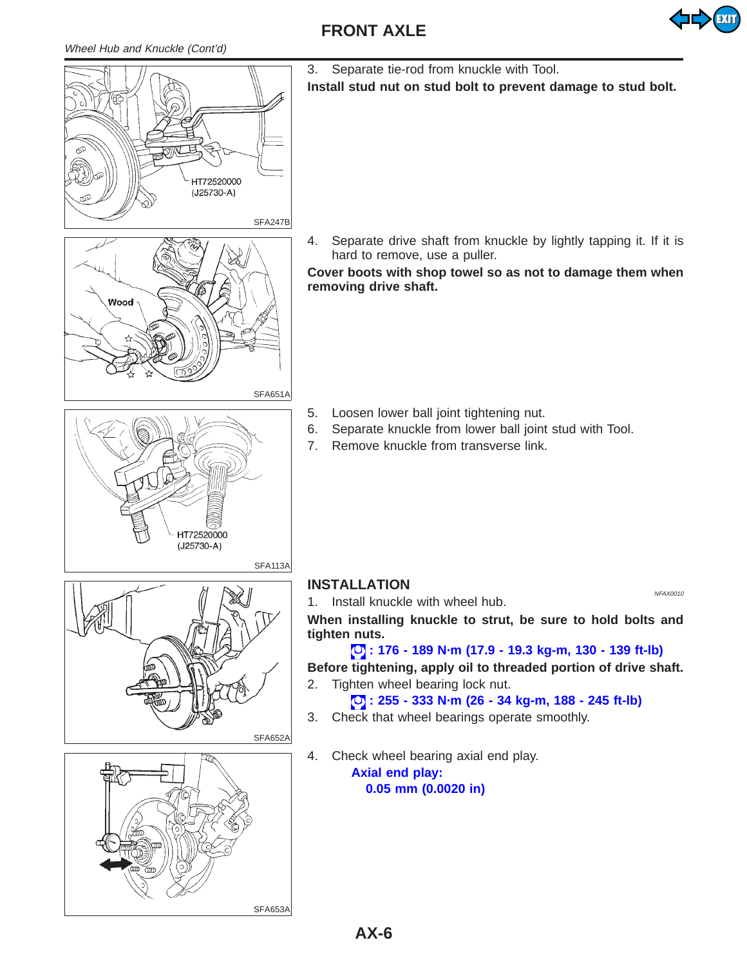<span id="page-5-0"></span>





3. Separate tie-rod from knuckle with Tool.

**Install stud nut on stud bolt to prevent damage to stud bolt.**

4. Separate drive shaft from knuckle by lightly tapping it. If it is hard to remove, use a puller.

**Cover boots with shop towel so as not to damage them when removing drive shaft.**

- 5. Loosen lower ball joint tightening nut.
- 6. Separate knuckle from lower ball joint stud with Tool.
- 7. Remove knuckle from transverse link.



# **INSTALLATION**

1. Install knuckle with wheel hub.

**When installing knuckle to strut, be sure to hold bolts and tighten nuts.**

#### **: 176 - 189 N·m (17.9 - 19.3 kg-m, 130 - 139 ft-lb) Before tightening, apply oil to threaded portion of drive shaft.** 2. Tighten wheel bearing lock nut.

**: 255 - 333 N·m (26 - 34 kg-m, 188 - 245 ft-lb)**

- 3. Check that wheel bearings operate smoothly.
- 4. Check wheel bearing axial end play.

**Axial end play: 0.05 mm (0.0020 in)**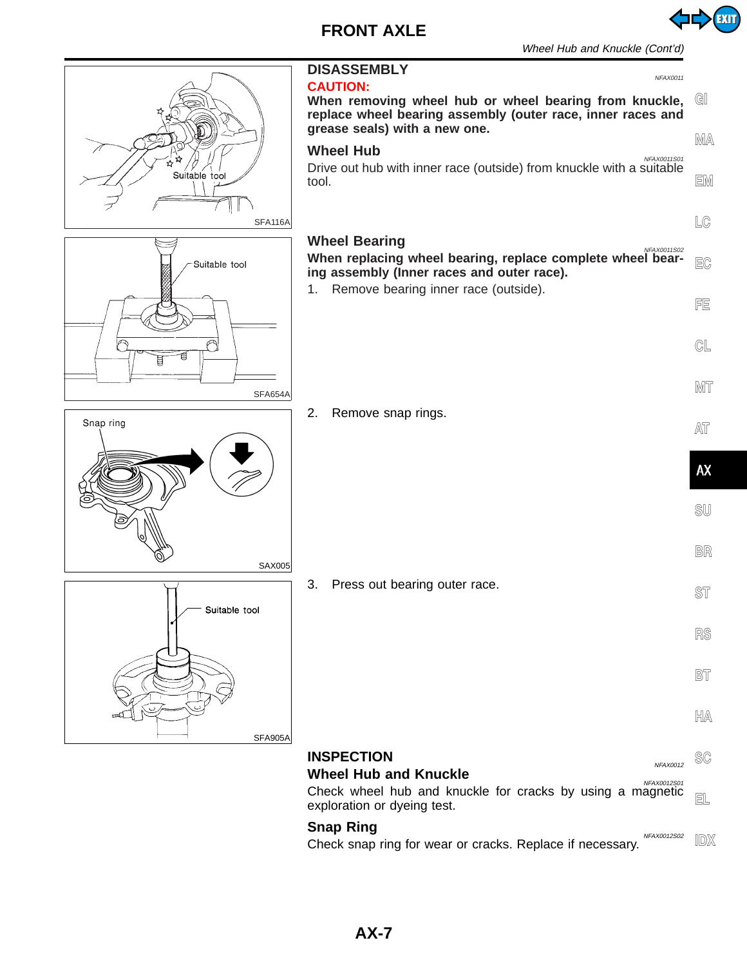

EXIT

<span id="page-6-1"></span><span id="page-6-0"></span>

Check snap ring for wear or cracks. Replace if necessary.

**IDX**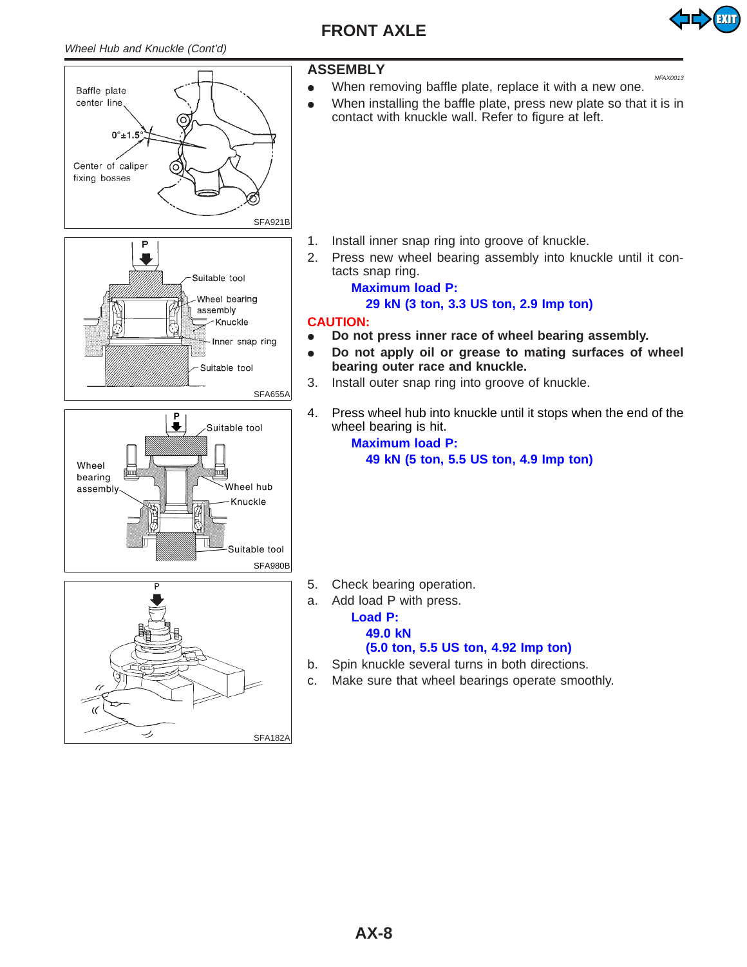<span id="page-7-1"></span><span id="page-7-0"></span>Wheel Hub and Knuckle (Cont'd)







#### **ASSEMBLY** NEARLY

• When removing baffle plate, replace it with a new one.

EXIT

• When installing the baffle plate, press new plate so that it is in contact with knuckle wall. Refer to figure at left.

- 1. Install inner snap ring into groove of knuckle.
- 2. Press new wheel bearing assembly into knuckle until it contacts snap ring.

#### **Maximum load P: 29 kN (3 ton, 3.3 US ton, 2.9 Imp ton)**

#### **CAUTION:**

- Do not press inner race of wheel bearing assembly.
- Do not apply oil or grease to mating surfaces of wheel **bearing outer race and knuckle.**
- 3. Install outer snap ring into groove of knuckle.
- 4. Press wheel hub into knuckle until it stops when the end of the wheel bearing is hit.

#### **Maximum load P: 49 kN (5 ton, 5.5 US ton, 4.9 Imp ton)**

- 5. Check bearing operation.
- a. Add load P with press.

#### **Load P:**

#### **49.0 kN**

#### **(5.0 ton, 5.5 US ton, 4.92 Imp ton)**

- b. Spin knuckle several turns in both directions.
- c. Make sure that wheel bearings operate smoothly.

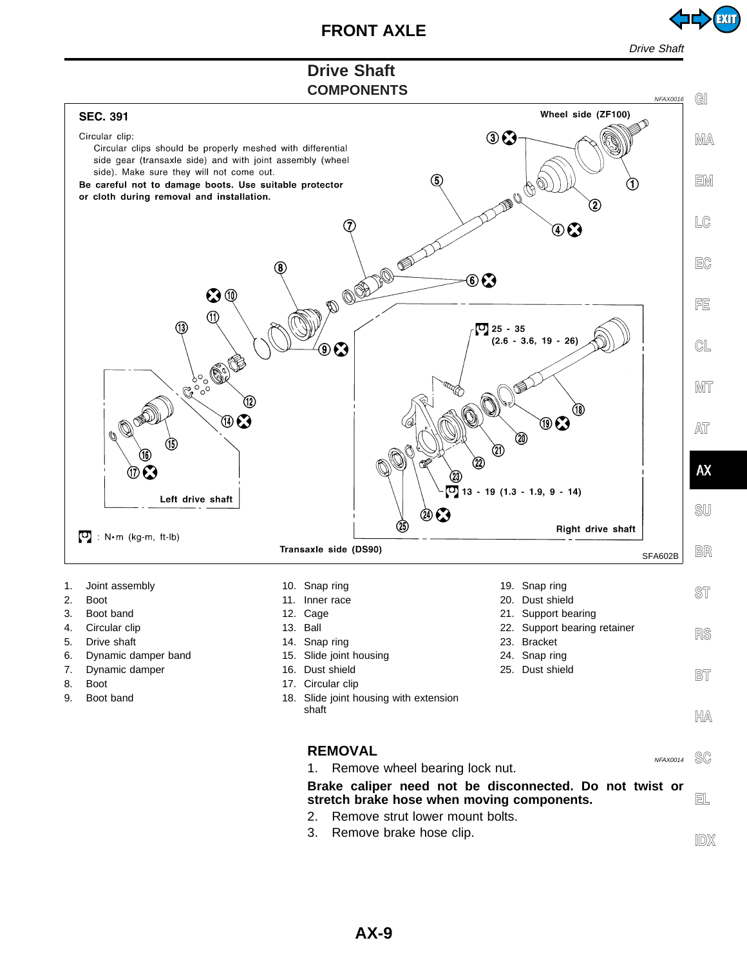

Drive Shaf

# **Drive Shaft**

<span id="page-8-0"></span>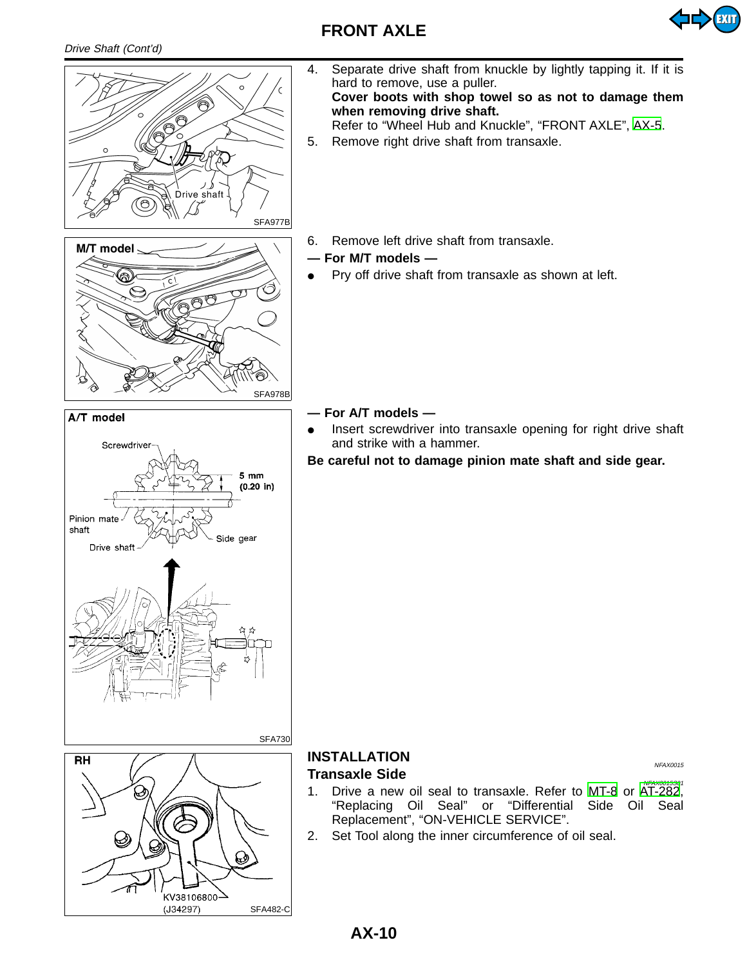

<span id="page-9-1"></span><span id="page-9-0"></span>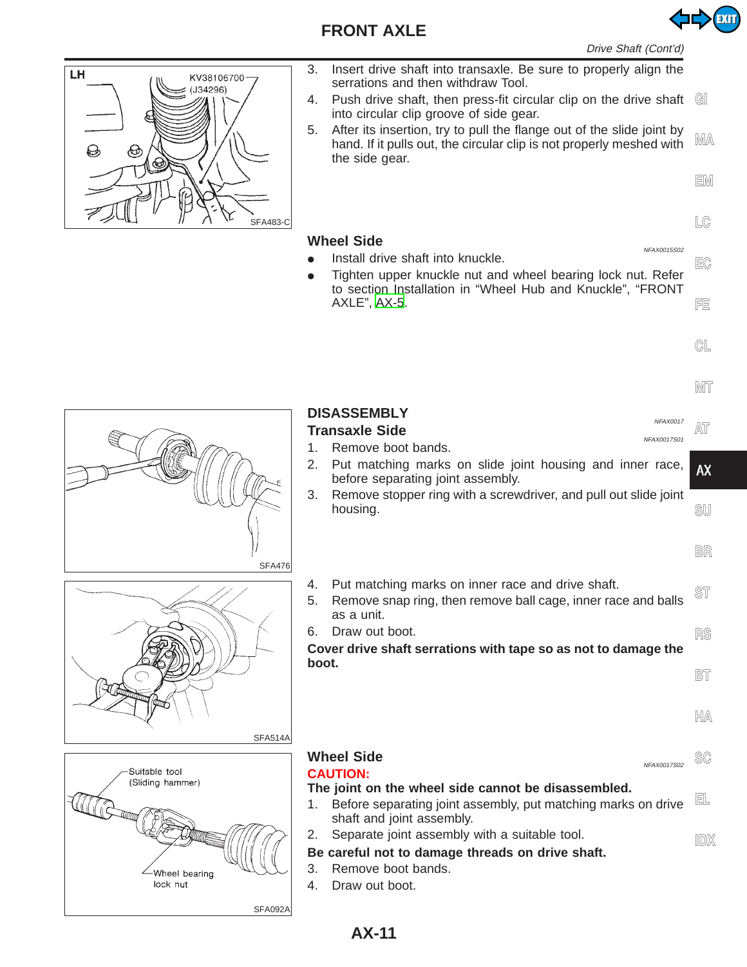<span id="page-10-0"></span>

- 3. Insert drive shaft into transaxle. Be sure to properly align the serrations and then withdraw Tool.
- 4. Push drive shaft, then press-fit circular clip on the drive shaft **GI** into circular clip groove of side gear.
- 5. After its insertion, try to pull the flange out of the slide joint by hand. If it pulls out, the circular clip is not properly meshed with the side gear. **MA**

**EM**

EXIT

**LC**

**EC**

**FE**

**CL**

- **Wheel Side** NEAX0015S02  $\bullet$  Install drive shaft into knuckle.
- Tighten upper knuckle nut and wheel bearing lock nut. Refer to section Installation in "Wheel Hub and Knuckle", "FRONT AXLE", [AX-5](#page-4-0).
- 

**MT**

| <b>SFA476</b>                                                             | <b>DISASSEMBLY</b><br>NFAX0017<br><b>Transaxle Side</b><br>NFAX0017S01<br>Remove boot bands.<br>1.<br>Put matching marks on slide joint housing and inner race,<br>2.<br>before separating joint assembly.<br>Remove stopper ring with a screwdriver, and pull out slide joint<br>3.<br>housing.                                                                              | <b>AX</b><br>SU<br>BR        |
|---------------------------------------------------------------------------|-------------------------------------------------------------------------------------------------------------------------------------------------------------------------------------------------------------------------------------------------------------------------------------------------------------------------------------------------------------------------------|------------------------------|
| SFA514A                                                                   | Put matching marks on inner race and drive shaft.<br>4.<br>5.<br>Remove snap ring, then remove ball cage, inner race and balls<br>as a unit.<br>Draw out boot.<br>6.<br>Cover drive shaft serrations with tape so as not to damage the<br>boot.                                                                                                                               | <b>ST</b><br>R\$<br>BT<br>HA |
| Suitable tool<br>(Sliding hammer)<br>Wheel bearing<br>lock nut<br>SFA092A | <b>Wheel Side</b><br>NFAX0017S02<br><b>CAUTION:</b><br>The joint on the wheel side cannot be disassembled.<br>Before separating joint assembly, put matching marks on drive<br>1.<br>shaft and joint assembly.<br>Separate joint assembly with a suitable tool.<br>2.<br>Be careful not to damage threads on drive shaft.<br>3.<br>Remove boot bands.<br>Draw out boot.<br>4. | SC<br>EL<br><b>IDX</b>       |

#### **AX-11**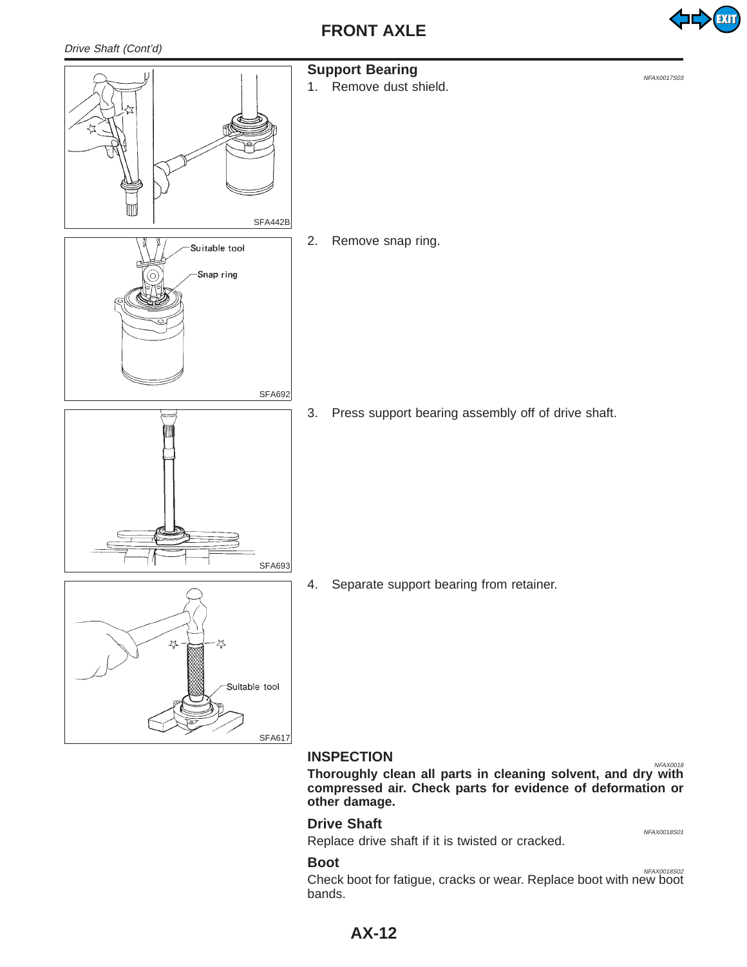

<span id="page-11-0"></span>

**Thoroughly clean all parts in cleaning solvent, and dry with compressed air. Check parts for evidence of deformation or other damage.**

### **Drive Shaft** NFAX0018S01

Replace drive shaft if it is twisted or cracked.

**Boot** NFAX0018S02 Check boot for fatigue, cracks or wear. Replace boot with new boot bands.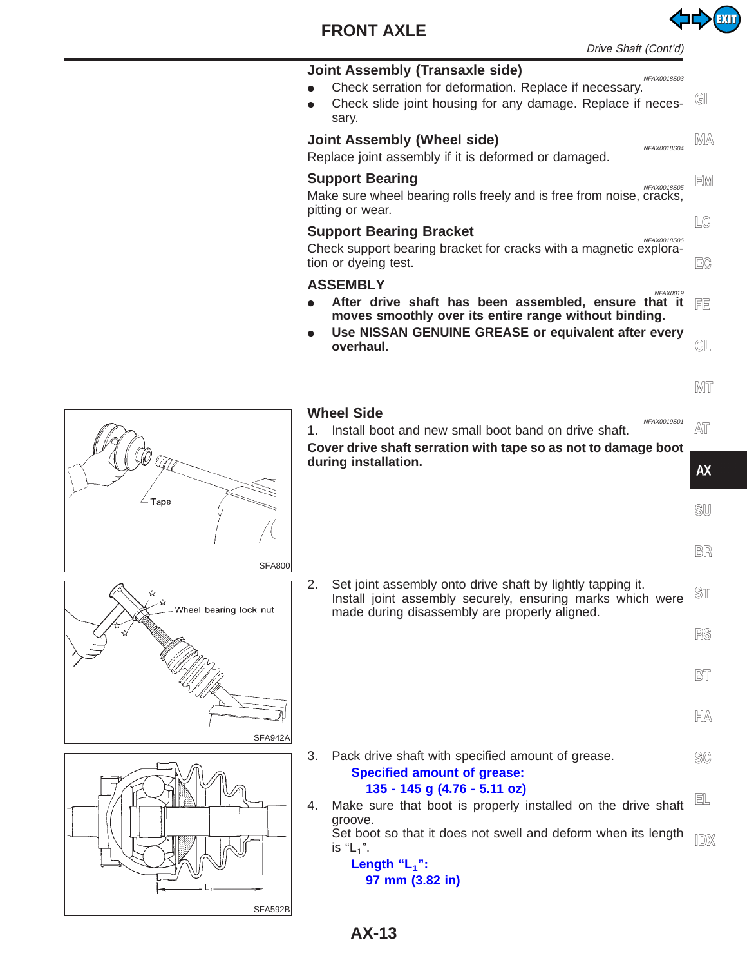



EXIT

<span id="page-12-0"></span>

**AX-13**

SFA592B

Tape

☆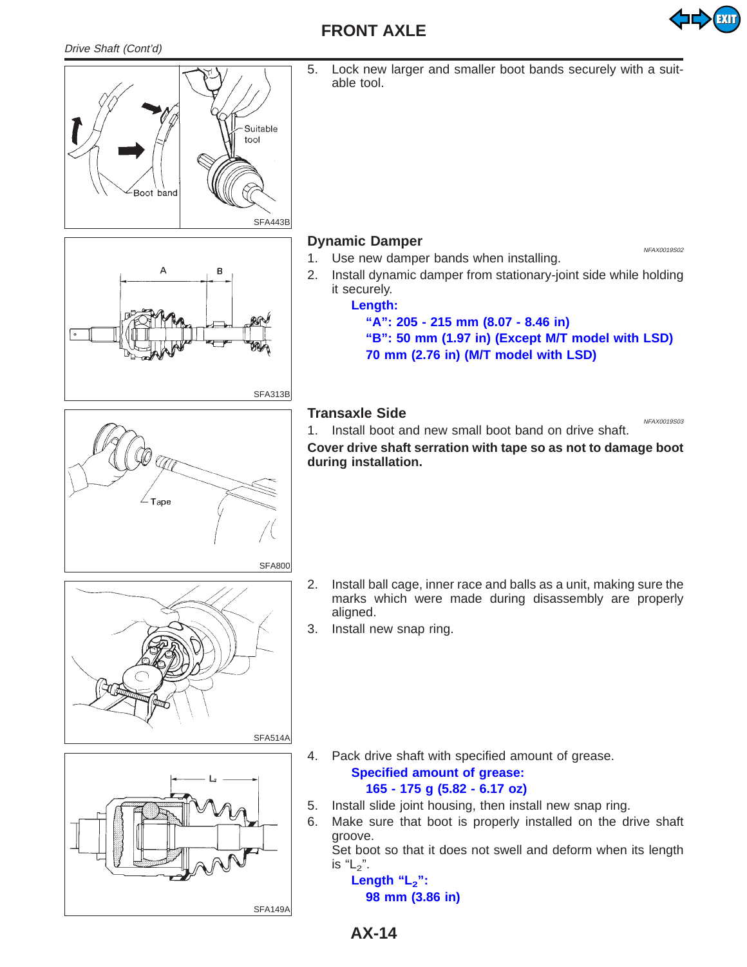



5. Lock new larger and smaller boot bands securely with a suitable tool.

#### **Dynamic Damper** New York 20019502

- 1. Use new damper bands when installing.
- 2. Install dynamic damper from stationary-joint side while holding it securely.

#### **Length:**

**"A": 205 - 215 mm (8.07 - 8.46 in)**

**"B": 50 mm (1.97 in) (Except M/T model with LSD) 70 mm (2.76 in) (M/T model with LSD)**

#### **Transaxle Side** News 2001 State News 2001 State News 2001 State News 2001 State News 2001 State News 2001 State News 2001 State News 2001 State News 2001 State News 2001 State News 2001 State News 2001 State News 2001 Sta



- 2. Install ball cage, inner race and balls as a unit, making sure the marks which were made during disassembly are properly aligned.
- 3. Install new snap ring.



4. Pack drive shaft with specified amount of grease. **Specified amount of grease:**

#### **165 - 175 g (5.82 - 6.17 oz)**

- 5. Install slide joint housing, then install new snap ring.
- 6. Make sure that boot is properly installed on the drive shaft groove.

Set boot so that it does not swell and deform when its length is " $L_2$ ".

Length "L<sub>2</sub>": **98 mm (3.86 in)**

SFA149A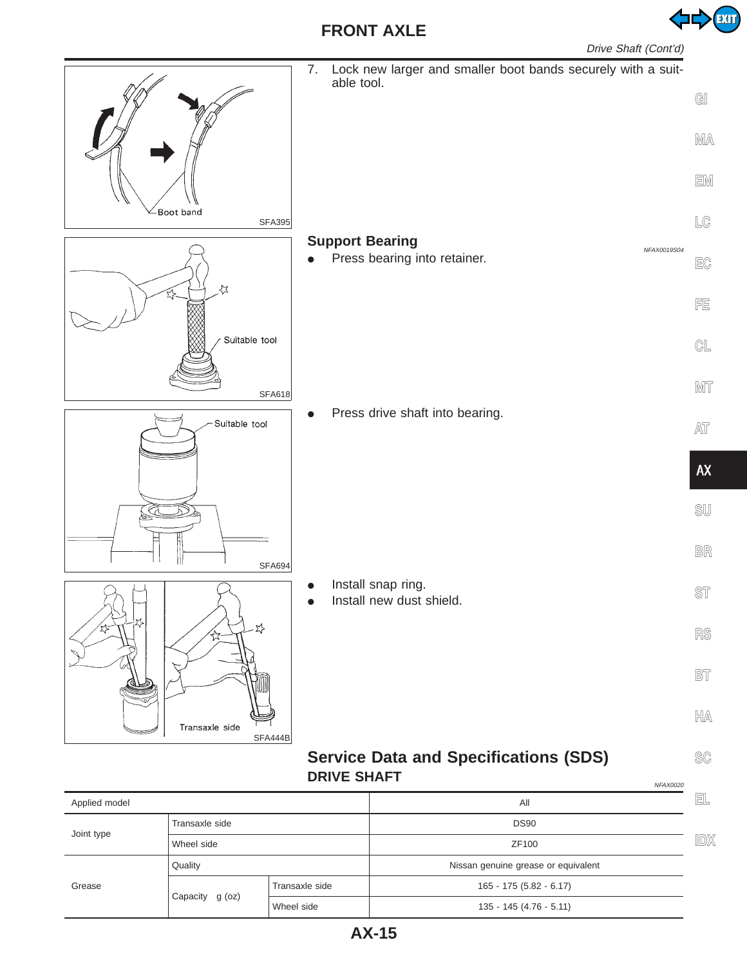

<span id="page-14-0"></span>

#### **Service Data and Specifications (SDS) DRIVE SHAFT** NEAR AND THE MEAN AND MEAN AND MEAN AND MEAN AND MEAN AND MEAN AND MEAN AND MEAN AND MEAN AND MEAN OF A MEAN AND MEAN OF A MEAN OF A MEAN OF A MEAN OF A MEAN OF A MEAN OF A MEAN OF A MEAN OF A MEAN OF A MEAN

| Applied model  |                 |                | All                                 | EL  |
|----------------|-----------------|----------------|-------------------------------------|-----|
| Transaxle side |                 |                | <b>DS90</b>                         |     |
| Joint type     | Wheel side      |                | ZF100                               | IDX |
|                | Quality         |                | Nissan genuine grease or equivalent |     |
| Grease         |                 | Transaxle side | $165 - 175(5.82 - 6.17)$            |     |
|                | Capacity g (oz) | Wheel side     | $135 - 145 (4.76 - 5.11)$           |     |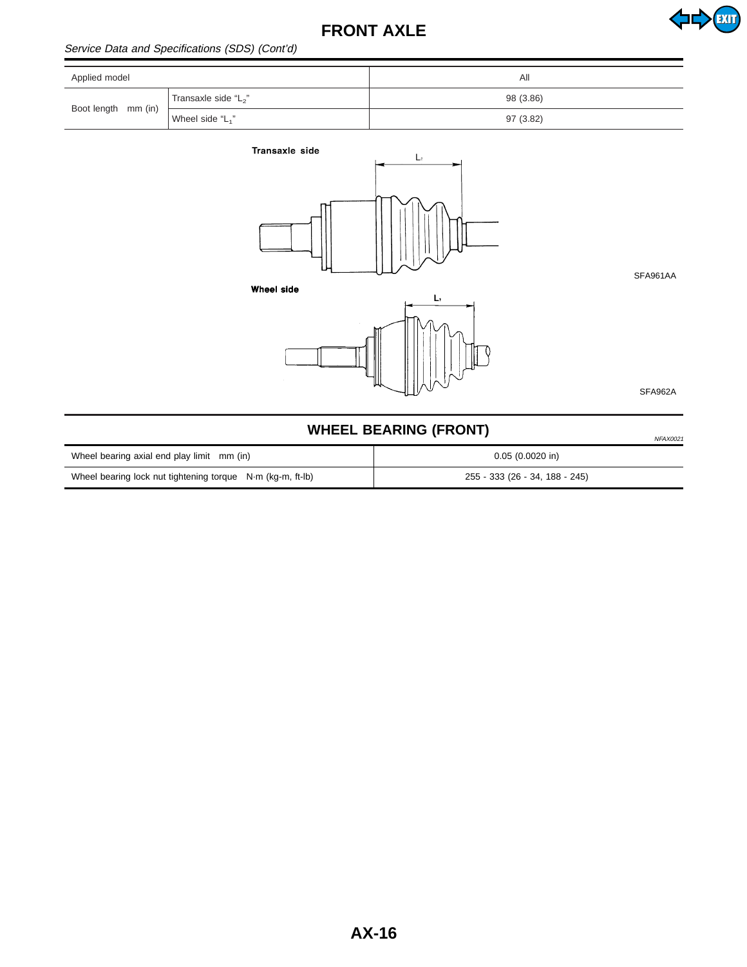<span id="page-15-0"></span>

| Applied model                    |                      | All       |
|----------------------------------|----------------------|-----------|
| Transaxle side "L <sub>2</sub> " | 98 (3.86)            |           |
| Boot length mm (in)              | Wheel side " $L_1$ " | 97 (3.82) |



SFA961AA

**EXIT** 

Wheel side



SFA962A

# **WHEEL BEARING (FRONT)** NETRIGATED NETRIGATED NETRIGATED NETRIGATED NETRIGATED NETRIGATED NETRIGATED NETRIGATED

| Wheel bearing axial end play limit mm (in)                 | $0.05(0.0020)$ in)             |
|------------------------------------------------------------|--------------------------------|
| Wheel bearing lock nut tightening torque N·m (kg-m, ft-lb) | 255 - 333 (26 - 34, 188 - 245) |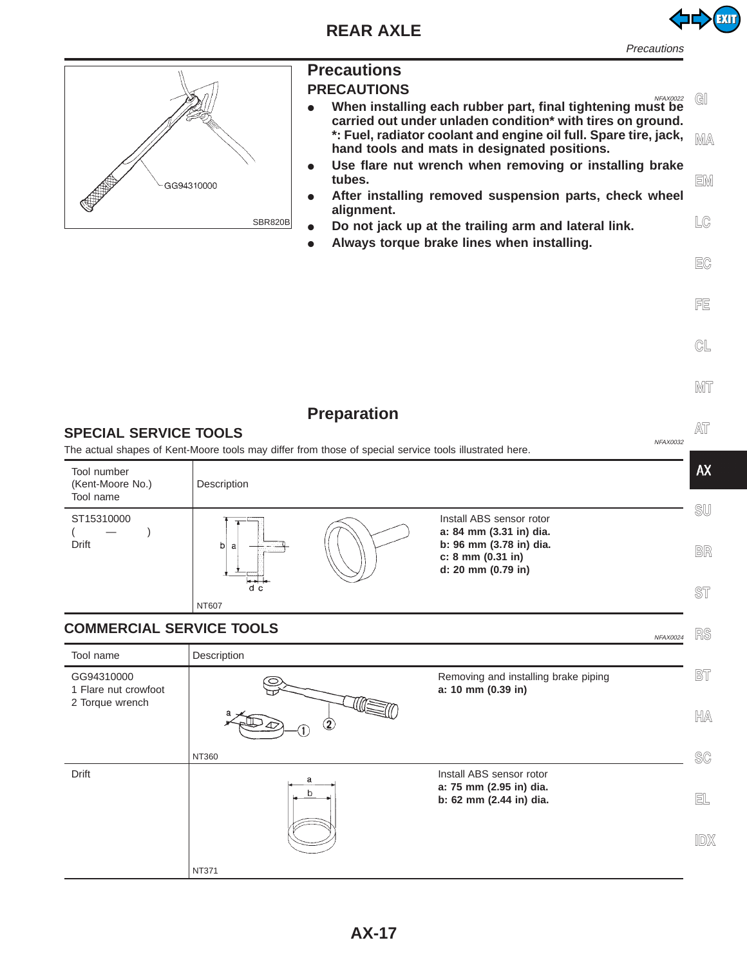

**Precautions** 

<span id="page-16-0"></span>

NT371

# **Precautions**

- **PRECAUTIONS • When installing each rubber part, final tightening must be carried out under unladen condition\* with tires on ground. \*: Fuel, radiator coolant and engine oil full. Spare tire, jack, hand tools and mats in designated positions. GI MA**
	- Use flare nut wrench when removing or installing brake **tubes.** After installing removed suspension parts, check wheel **EM**
	- **alignment.** Do not jack up at the trailing arm and lateral link. **LC**
- I **Always torque brake lines when installing.**



**CL**

**EC**

**FE**

#### **Preparation AT SPECIAL SERVICE TOOLS** The actual shapes of Kent-Moore tools may differ from those of special service tools illustrated here. **AX** Tool number (Kent-Moore No.) Description Tool name **SU** ST15310000 Install ABS sensor rotor **a: 84 mm (3.31 in) dia.**  $($   $)$ Drift **b: 96 mm (3.78 in) dia.**  $\overline{b}$ a **BR c: 8 mm (0.31 in) d: 20 mm (0.79 in)** .<br>d\_c **ST** NT607 **COMMERCIAL SERVICE TOOLS RS** Tool name | Description **BT** GG94310000 Removing and installing brake piping 1 Flare nut crowfoot **a: 10 mm (0.39 in)** 2 Torque wrench **HA** NT360 **SC** Drift Install ABS sensor rotor a **a: 75 mm (2.95 in) dia. EL b: 62 mm (2.44 in) dia. IDX**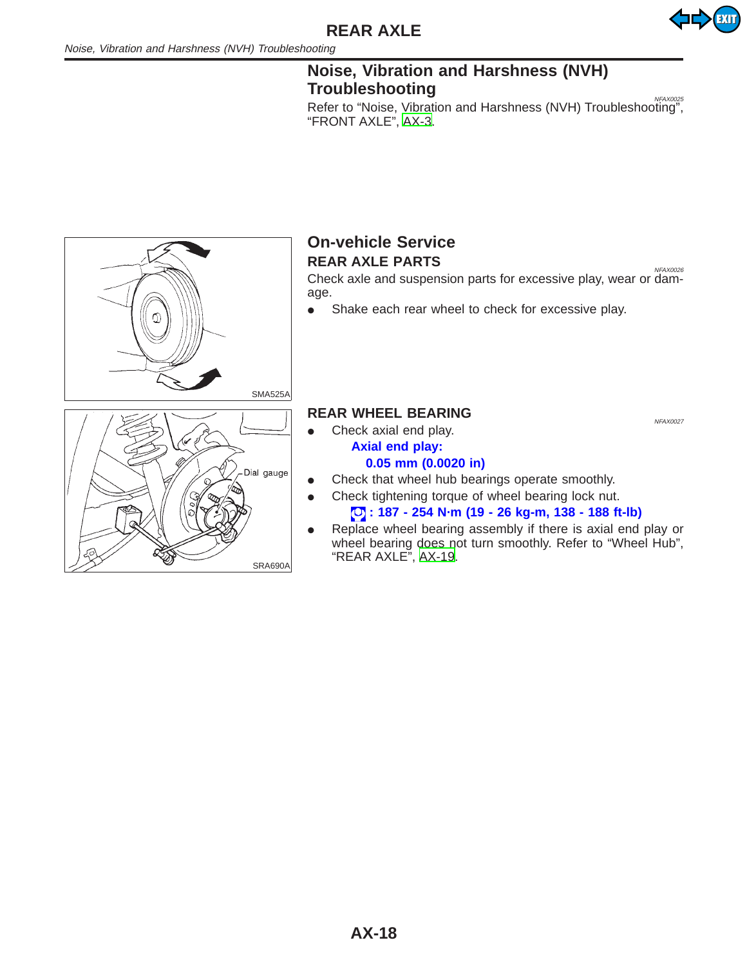

### **Noise, Vibration and Harshness (NVH) Troubleshooting** NGC 20025 NGC 20025

Refer to "Noise, Vibration and Harshness (NVH) Troubleshooting", "FRONT AXLE", [AX-3.](#page-2-0)

<span id="page-17-0"></span>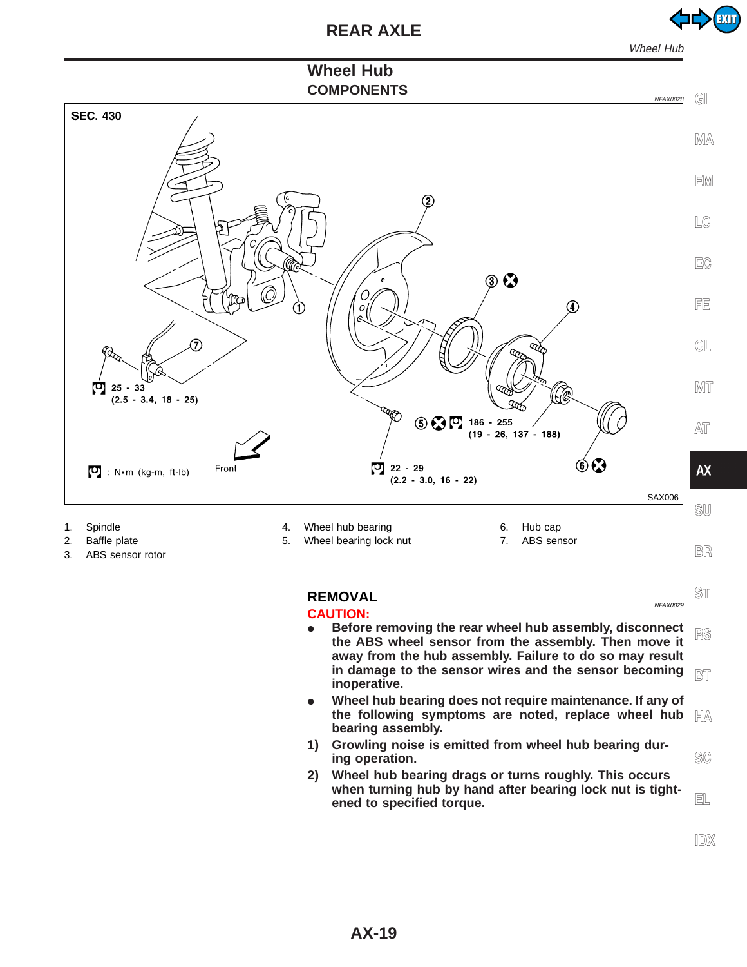

EXIT

# **Wheel Hub**

<span id="page-18-0"></span>

- 1. Spindle
- 2. Baffle plate
- 3. ABS sensor rotor
- 4. Wheel hub bearing
- 5. Wheel bearing lock nut
- 6. Hub cap 7. ABS sensor

# **BR**

**ST**

#### **REMOVAL** NEWSLET AND REMOVAL

#### **CAUTION:**

- **•** Before removing the rear wheel hub assembly, disconnect **the ABS wheel sensor from the assembly. Then move it away from the hub assembly. Failure to do so may result in damage to the sensor wires and the sensor becoming inoperative. RS BT**
- **•** Wheel hub bearing does not require maintenance. If any of **the following symptoms are noted, replace wheel hub bearing assembly. HA**
- **1) Growling noise is emitted from wheel hub bearing during operation.**
- **2) Wheel hub bearing drags or turns roughly. This occurs when turning hub by hand after bearing lock nut is tightened to specified torque.**

**IDX**

**SC**

**EL**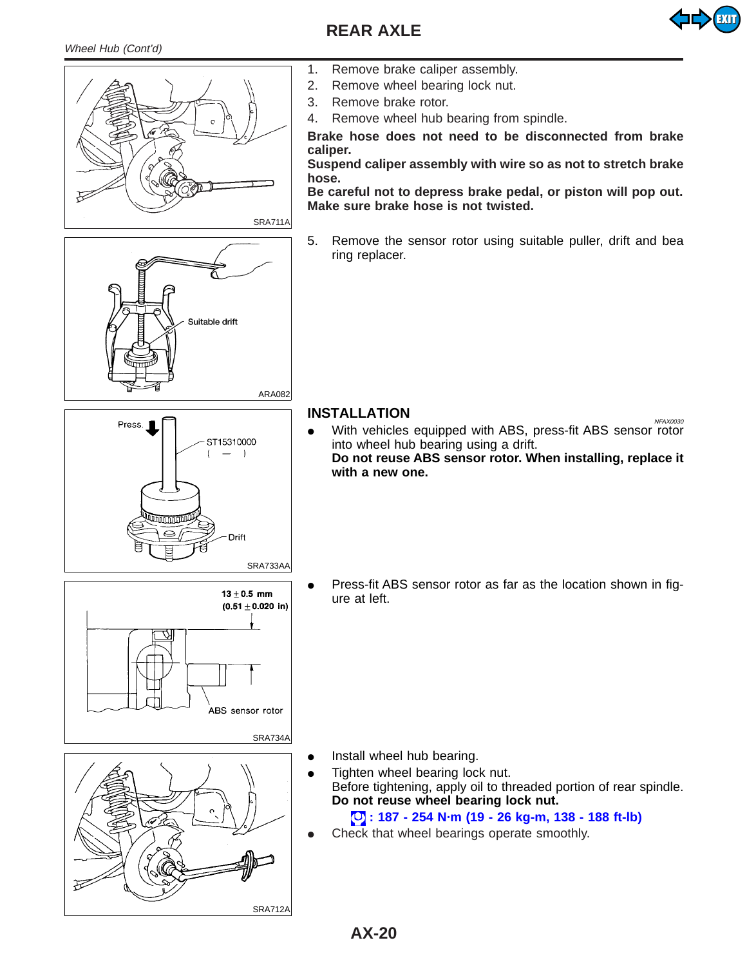

<span id="page-19-0"></span>

- 1. Remove brake caliper assembly.
- 2. Remove wheel bearing lock nut.
- 3. Remove brake rotor.
- 4. Remove wheel hub bearing from spindle.

**Brake hose does not need to be disconnected from brake caliper.**

**Suspend caliper assembly with wire so as not to stretch brake**

**Be careful not to depress brake pedal, or piston will pop out. Make sure brake hose is not twisted.**

5. Remove the sensor rotor using suitable puller, drift and bea ring replacer.

# **INSTALLATION**

• With vehicles equipped with ABS, press-fit ABS sensor rotor into wheel hub bearing using a drift. **Do not reuse ABS sensor rotor. When installing, replace it with a new one.**

Press-fit ABS sensor rotor as far as the location shown in figure at left.

- Install wheel hub bearing.
- Tighten wheel bearing lock nut. Before tightening, apply oil to threaded portion of rear spindle. **Do not reuse wheel bearing lock nut.**

#### **: 187 - 254 N·m (19 - 26 kg-m, 138 - 188 ft-lb)**

Check that wheel bearings operate smoothly.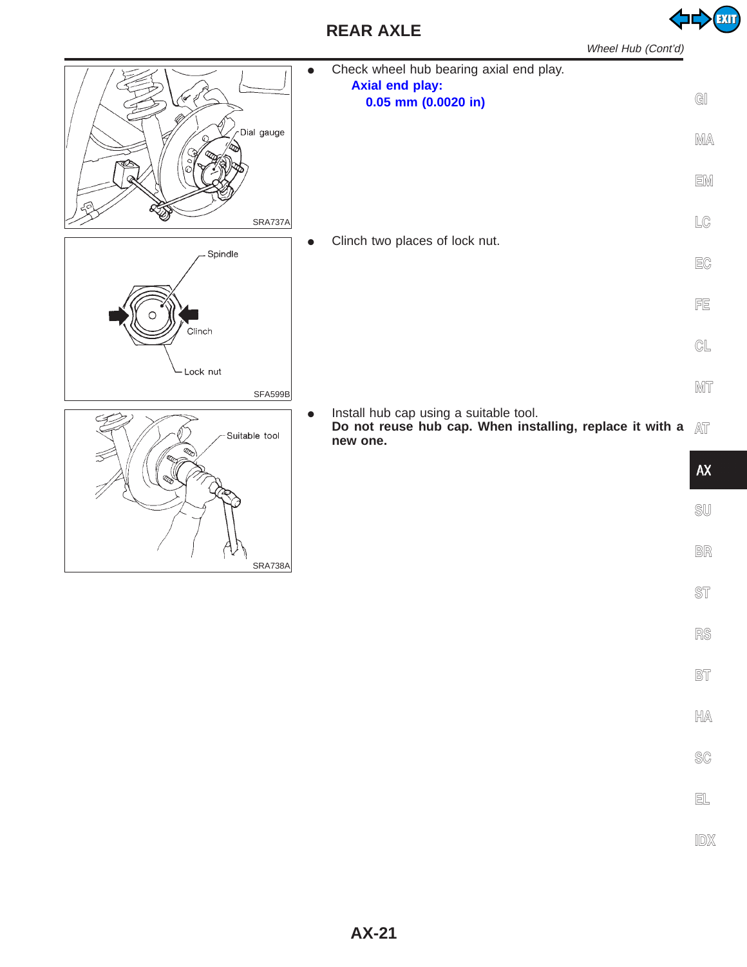**AX-21**

| Wheel Hub (Cont'd)                                                                                                              |                               |
|---------------------------------------------------------------------------------------------------------------------------------|-------------------------------|
| Check wheel hub bearing axial end play.<br><b>Axial end play:</b><br>$0.05$ mm $(0.0020)$ in)<br>Dial gauge                     | $\mathbb{G} \mathbb{I}$<br>MA |
|                                                                                                                                 | EM                            |
| <b>SRA737A</b>                                                                                                                  | LG                            |
| Clinch two places of lock nut.<br>Spindle                                                                                       | EC                            |
| Clinch                                                                                                                          | FE                            |
| - Lock nut                                                                                                                      | $\mathbb{GL}% _{n}$           |
| <b>SFA599B</b>                                                                                                                  | MT                            |
| Install hub cap using a suitable tool.<br>Do not reuse hub cap. When installing, replace it with a<br>Suitable tool<br>new one. | AT                            |
|                                                                                                                                 | AX                            |
|                                                                                                                                 | $\mathbb{SU}$                 |
| <b>SRA738A</b>                                                                                                                  | BR                            |
|                                                                                                                                 | ST                            |
|                                                                                                                                 | RS                            |

**BT**

**HA**

**SC**

**EL**

**IDX**